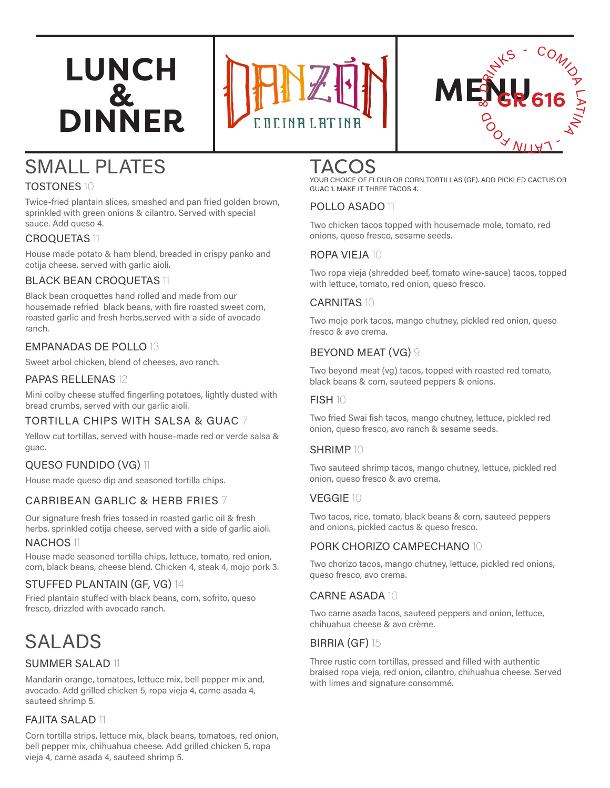# **LUNCH & DINNER**





# SMALL PLATES

### TOSTONES 10

Twice-fried plantain slices, smashed and pan fried golden brown, sprinkled with green onions & cilantro. Served with special sauce. Add queso 4.

#### CROQUETAS 11

House made potato & ham blend, breaded in crispy panko and cotija cheese. served with garlic aioli.

#### BLACK BEAN CROQUETAS 11

Black bean croquettes hand rolled and made from our housemade refried black beans, with fire roasted sweet corn, roasted garlic and fresh herbs,served with a side of avocado ranch.

#### EMPANADAS DE POLLO 13

Sweet arbol chicken, blend of cheeses, avo ranch.

#### PAPAS RELLENAS 12

Mini colby cheese stuffed fingerling potatoes, lightly dusted with bread crumbs, served with our garlic aioli.

#### TORTILLA CHIPS WITH SALSA & GUAC 7

Yellow cut tortillas, served with house-made red or verde salsa & guac.

#### QUESO FUNDIDO (VG) 11

House made queso dip and seasoned tortilla chips.

#### CARRIBEAN GARLIC & HERB FRIES 7

Our signature fresh fries tossed in roasted garlic oil & fresh herbs. sprinkled cotija cheese, served with a side of garlic aioli.

#### NACHOS 11

House made seasoned tortilla chips, lettuce, tomato, red onion, corn, black beans, cheese blend. Chicken 4, steak 4, mojo pork 3.

#### STUFFED PLANTAIN (GF, VG) 14

Fried plantain stuffed with black beans, corn, sofrito, queso fresco, drizzled with avocado ranch.

### SALADS

#### SUMMER SALAD 11

Mandarin orange, tomatoes, lettuce mix, bell pepper mix and, avocado. Add grilled chicken 5, ropa vieja 4, carne asada 4, sauteed shrimp 5.

#### FAJITA SALAD 11

Corn tortilla strips, lettuce mix, black beans, tomatoes, red onion, bell pepper mix, chihuahua cheese. Add grilled chicken 5, ropa vieja 4, carne asada 4, sauteed shrimp 5.

### TACOS

YOUR CHOICE OF FLOUR OR CORN TORTILLAS (GF). ADD PICKLED CACTUS OR GUAC 1. MAKE IT THREE TACOS 4.

#### POLLO ASADO 11

Two chicken tacos topped with housemade mole, tomato, red onions, queso fresco, sesame seeds.

#### ROPA VIEJA 10

Two ropa vieja (shredded beef, tomato wine-sauce) tacos, topped with lettuce, tomato, red onion, queso fresco.

#### CARNITAS 10

Two mojo pork tacos, mango chutney, pickled red onion, queso fresco & avo crema.

#### BEYOND MEAT (VG) 9

Two beyond meat (vg) tacos, topped with roasted red tomato, black beans & corn, sauteed peppers & onions.

#### FISH 10

Two fried Swai fish tacos, mango chutney, lettuce, pickled red onion, queso fresco, avo ranch & sesame seeds.

#### SHRIMP 10

Two sauteed shrimp tacos, mango chutney, lettuce, pickled red onion, queso fresco & avo crema.

#### VEGGIE 10

Two tacos, rice, tomato, black beans & corn, sauteed peppers and onions, pickled cactus & queso fresco.

#### PORK CHORIZO CAMPECHANO 10

Two chorizo tacos, mango chutney, lettuce, pickled red onions, queso fresco, avo crema.

#### CARNE ASADA 10

Two carne asada tacos, sauteed peppers and onion, lettuce, chihuahua cheese & avo crème.

#### BIRRIA (GF) 15

Three rustic corn tortillas, pressed and filled with authentic braised ropa vieja, red onion, cilantro, chihuahua cheese. Served with limes and signature consommé.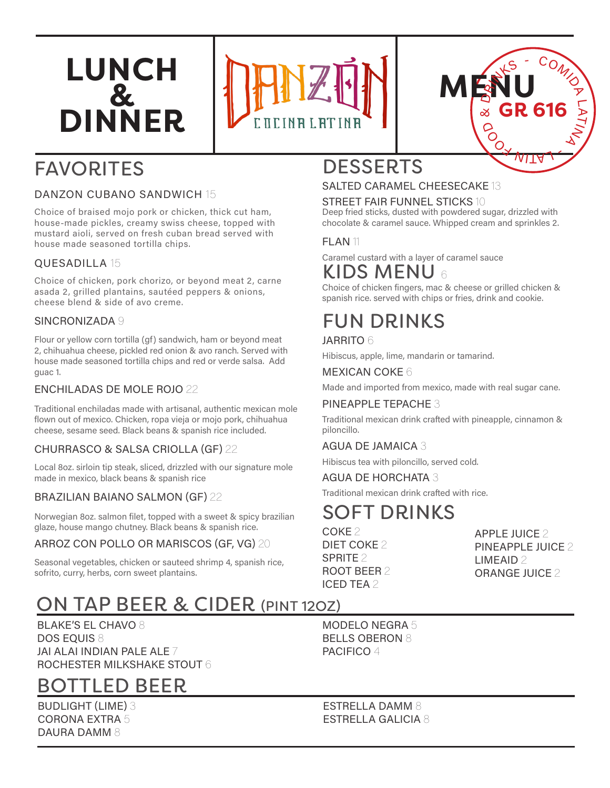# **LUNCH & DINNER**





# FAVORITES

#### DANZON CUBANO SANDWICH 15

Choice of braised mojo pork or chicken, thick cut ham, house-made pickles, creamy swiss cheese, topped with mustard aioli, served on fresh cuban bread served with house made seasoned tortilla chips.

#### QUESADILLA 15

Choice of chicken, pork chorizo, or beyond meat 2, carne asada 2, grilled plantains, sautéed peppers & onions, cheese blend & side of avo creme.

#### SINCRONIZADA 9

Flour or yellow corn tortilla (gf) sandwich, ham or beyond meat 2, chihuahua cheese, pickled red onion & avo ranch. Served with house made seasoned tortilla chips and red or verde salsa. Add guac 1.

#### ENCHILADAS DE MOLE ROJO 22

Traditional enchiladas made with artisanal, authentic mexican mole flown out of mexico. Chicken, ropa vieja or mojo pork, chihuahua cheese, sesame seed. Black beans & spanish rice included.

#### CHURRASCO & SALSA CRIOLLA (GF) 22

Local 8oz. sirloin tip steak, sliced, drizzled with our signature mole made in mexico, black beans & spanish rice

#### BRAZILIAN BAIANO SALMON (GF) 22

Norwegian 8oz. salmon filet, topped with a sweet & spicy brazilian glaze, house mango chutney. Black beans & spanish rice.

#### ARROZ CON POLLO OR MARISCOS (GF, VG) 20

Seasonal vegetables, chicken or sauteed shrimp 4, spanish rice, sofrito, curry, herbs, corn sweet plantains.

### DESSERTS

#### SALTED CARAMEL CHEESECAKE 13

STREET FAIR FUNNEL STICKS 10

Deep fried sticks, dusted with powdered sugar, drizzled with chocolate & caramel sauce. Whipped cream and sprinkles 2.

#### FLAN<sub>11</sub>

KIDS MENU <sup>6</sup> Caramel custard with a layer of caramel sauce

### Choice of chicken fingers, mac & cheese or grilled chicken &

spanish rice. served with chips or fries, drink and cookie.

# FUN DRINKS

JARRITO 6

Hibiscus, apple, lime, mandarin or tamarind.

#### MEXICAN COKE 6

Made and imported from mexico, made with real sugar cane.

#### PINEAPPLE TEPACHE 3

Traditional mexican drink crafted with pineapple, cinnamon & piloncillo.

#### AGUA DE JAMAICA 3

Hibiscus tea with piloncillo, served cold.

#### AGUA DE HORCHATA 3

Traditional mexican drink crafted with rice.

### SOFT DRINKS

COKE 2 DIET COKE 2 SPRITE 2 ROOT BEER 2 ICED TEA 2

APPLE JUICE 2 PINEAPPLE JUICE 2 LIMEAID 2 ORANGE JUICE 2

### ON TAP BEER & CIDER (PINT 12OZ)

BLAKE'S EL CHAVO 8 DOS EQUIS 8 JAI ALAI INDIAN PALE ALE 7 ROCHESTER MILKSHAKE STOUT 6

### BOTTLED BEER

BUDLIGHT (LIME) 3 CORONA EXTRA 5 DAURA DAMM 8

MODELO NEGRA 5 BELLS OBERON 8 PACIFICO 4

ESTRELLA DAMM 8 ESTRELLA GALICIA 8